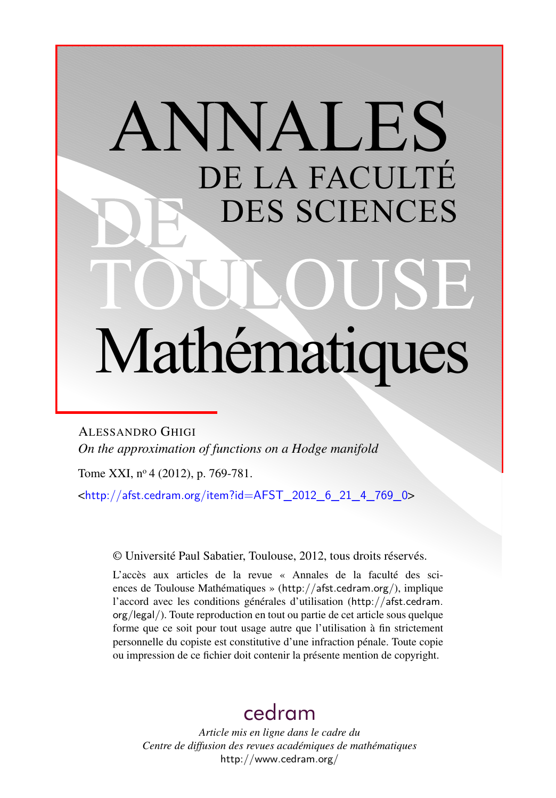# ANNALES DE LA FACULTÉ DES SCIENCES Mathématiques

ALESSANDRO GHIGI *On the approximation of functions on a Hodge manifold*

Tome XXI, nº 4 (2012), p. 769-781.

 $\text{chttp:}/\text{/afst.cedram.org/item?id=AFST}$  2012 6 21 4 769 0>

© Université Paul Sabatier, Toulouse, 2012, tous droits réservés.

L'accès aux articles de la revue « Annales de la faculté des sciences de Toulouse Mathématiques » (<http://afst.cedram.org/>), implique l'accord avec les conditions générales d'utilisation ([http://afst.cedram.](http://afst.cedram.org/legal/) [org/legal/](http://afst.cedram.org/legal/)). Toute reproduction en tout ou partie de cet article sous quelque forme que ce soit pour tout usage autre que l'utilisation à fin strictement personnelle du copiste est constitutive d'une infraction pénale. Toute copie ou impression de ce fichier doit contenir la présente mention de copyright.

# [cedram](http://www.cedram.org/)

*Article mis en ligne dans le cadre du Centre de diffusion des revues académiques de mathématiques* <http://www.cedram.org/>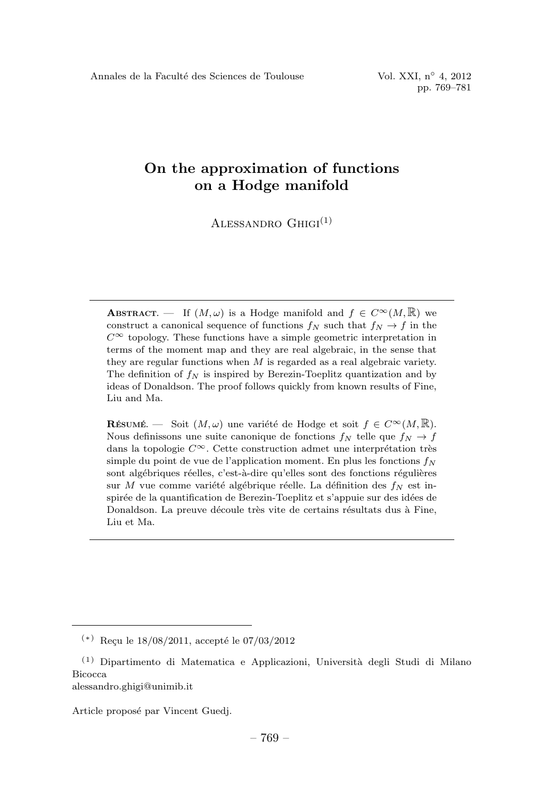ALESSANDRO  $GHIGI<sup>(1)</sup>$ 

**ABSTRACT.** — If  $(M, \omega)$  is a Hodge manifold and  $f \in C^{\infty}(M, \mathbb{R})$  we construct a canonical sequence of functions  $f_N$  such that  $f_N \to f$  in the  $C^{\infty}$  topology. These functions have a simple geometric interpretation in terms of the moment map and they are real algebraic, in the sense that they are regular functions when  $M$  is regarded as a real algebraic variety. The definition of  $f_N$  is inspired by Berezin-Toeplitz quantization and by ideas of Donaldson. The proof follows quickly from known results of Fine, Liu and Ma.

RÉSUMÉ. — Soit  $(M, \omega)$  une variété de Hodge et soit  $f \in C^{\infty}(M, \mathbb{R})$ . Nous definissons une suite canonique de fonctions  $f_N$  telle que  $f_N \to f$ dans la topologie  $C^{\infty}$ . Cette construction admet une interprétation très simple du point de vue de l'application moment. En plus les fonctions  $f_N$ sont algébriques réelles, c'est-à-dire qu'elles sont des fonctions régulières sur M vue comme variété algébrique réelle. La définition des  $f_N$  est inspirée de la quantification de Berezin-Toeplitz et s'appuie sur des idées de Donaldson. La preuve découle très vite de certains résultats dus à Fine, Liu et Ma.

Article proposé par Vincent Guedj.

 $(*)$  Reçu le 18/08/2011, accepté le 07/03/2012

 $(1)$  Dipartimento di Matematica e Applicazioni, Università degli Studi di Milano Bicocca alessandro.ghigi@unimib.it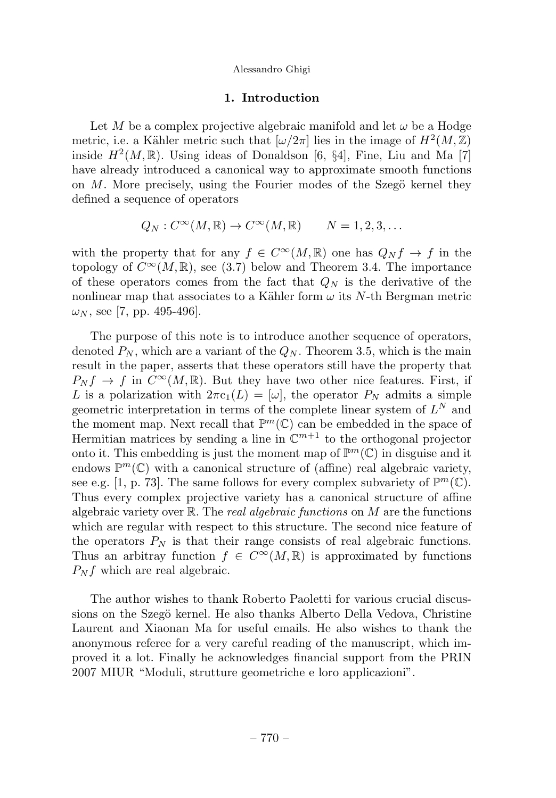# 1. Introduction

Let M be a complex projective algebraic manifold and let  $\omega$  be a Hodge metric, i.e. a Kähler metric such that  $\left[\omega/2\pi\right]$  lies in the image of  $H^2(M,\mathbb{Z})$ inside  $H^2(M,\mathbb{R})$ . Using ideas of Donaldson [6, §4], Fine, Liu and Ma [7] have already introduced a canonical way to approximate smooth functions on  $M$ . More precisely, using the Fourier modes of the Szegö kernel they defined a sequence of operators

$$
Q_N: C^{\infty}(M, \mathbb{R}) \to C^{\infty}(M, \mathbb{R}) \qquad N = 1, 2, 3, \dots
$$

with the property that for any  $f \in C^{\infty}(M,\mathbb{R})$  one has  $Q_N f \to f$  in the topology of  $C^{\infty}(M,\mathbb{R})$ , see (3.7) below and Theorem 3.4. The importance of these operators comes from the fact that  $Q_N$  is the derivative of the nonlinear map that associates to a Kähler form  $\omega$  its N-th Bergman metric  $\omega_N$ , see [7, pp. 495-496].

The purpose of this note is to introduce another sequence of operators, denoted  $P_N$ , which are a variant of the  $Q_N$ . Theorem 3.5, which is the main result in the paper, asserts that these operators still have the property that  $P_N f \to f$  in  $C^\infty(M,\mathbb{R})$ . But they have two other nice features. First, if L is a polarization with  $2\pi c_1(L)=[\omega]$ , the operator  $P_N$  admits a simple geometric interpretation in terms of the complete linear system of  $L^N$  and the moment map. Next recall that  $\mathbb{P}^m(\mathbb{C})$  can be embedded in the space of Hermitian matrices by sending a line in  $\mathbb{C}^{m+1}$  to the orthogonal projector onto it. This embedding is just the moment map of  $\mathbb{P}^m(\mathbb{C})$  in disguise and it endows  $\mathbb{P}^m(\mathbb{C})$  with a canonical structure of (affine) real algebraic variety, see e.g. [1, p. 73]. The same follows for every complex subvariety of  $\mathbb{P}^m(\mathbb{C})$ . Thus every complex projective variety has a canonical structure of affine algebraic variety over  $\mathbb{R}$ . The *real algebraic functions* on M are the functions which are regular with respect to this structure. The second nice feature of the operators  $P_N$  is that their range consists of real algebraic functions. Thus an arbitray function  $f \in C^{\infty}(M,\mathbb{R})$  is approximated by functions  $P_N f$  which are real algebraic.

The author wishes to thank Roberto Paoletti for various crucial discussions on the Szegö kernel. He also thanks Alberto Della Vedova, Christine Laurent and Xiaonan Ma for useful emails. He also wishes to thank the anonymous referee for a very careful reading of the manuscript, which improved it a lot. Finally he acknowledges financial support from the PRIN 2007 MIUR "Moduli, strutture geometriche e loro applicazioni".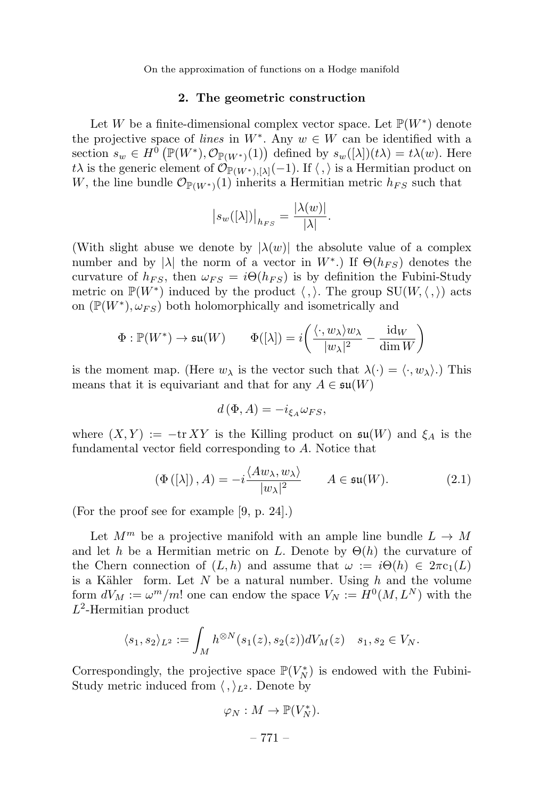# 2. The geometric construction

Let W be a finite-dimensional complex vector space. Let  $\mathbb{P}(W^*)$  denote the projective space of lines in  $W^*$ . Any  $w \in W$  can be identified with a section  $s_w \in H^0(\mathbb{P}(W^*), \mathcal{O}_{\mathbb{P}(W^*)}(1))$  defined by  $s_w([\lambda])(t\lambda) = t\lambda(w)$ . Here tλ is the generic element of  $\mathcal{O}_{\mathbb{P}(W^*)}[{\lambda}](-1)$ . If  $\langle , \rangle$  is a Hermitian product on W, the line bundle  $\mathcal{O}_{\mathbb{P}(W^*)}(1)$  inherits a Hermitian metric  $h_{FS}$  such that

$$
|s_w([\lambda])|_{h_{FS}} = \frac{|\lambda(w)|}{|\lambda|}.
$$

(With slight abuse we denote by  $|\lambda(w)|$  the absolute value of a complex number and by |λ| the norm of a vector in  $W^*$ .) If  $\Theta(h_{FS})$  denotes the curvature of  $h_{FS}$ , then  $\omega_{FS} = i\Theta(h_{FS})$  is by definition the Fubini-Study metric on  $\mathbb{P}(W^*)$  induced by the product  $\langle , \rangle$ . The group  $SU(W, \langle , \rangle)$  acts on  $(\mathbb{P}(W^*), \omega_{FS})$  both holomorphically and isometrically and

$$
\Phi: \mathbb{P}(W^*) \to \mathfrak{su}(W) \qquad \Phi([\lambda]) = i\bigg(\frac{\langle \cdot, w_\lambda \rangle w_\lambda}{|w_\lambda|^2} - \frac{\mathrm{id}_W}{\mathrm{dim\,} W}\bigg)
$$

is the moment map. (Here  $w_{\lambda}$  is the vector such that  $\lambda(\cdot) = \langle \cdot, w_{\lambda} \rangle$ .) This means that it is equivariant and that for any  $A \in \mathfrak{su}(W)$ 

$$
d\left(\Phi,A\right)=-i_{\xi_A}\omega_{FS},
$$

where  $(X, Y) := -\text{tr } XY$  is the Killing product on  $\mathfrak{su}(W)$  and  $\xi_A$  is the fundamental vector field corresponding to A. Notice that

$$
\left(\Phi\left(\left[\lambda\right]\right), A\right) = -i \frac{\langle A w_{\lambda}, w_{\lambda} \rangle}{|w_{\lambda}|^2} \qquad A \in \mathfrak{su}(W). \tag{2.1}
$$

(For the proof see for example [9, p. 24].)

Let  $M^m$  be a projective manifold with an ample line bundle  $L \to M$ and let h be a Hermitian metric on L. Denote by  $\Theta(h)$  the curvature of the Chern connection of  $(L, h)$  and assume that  $\omega := i\Theta(h) \in 2\pi c_1(L)$ is a Kähler form. Let  $N$  be a natural number. Using  $h$  and the volume form  $dV_M := \omega^m/m!$  one can endow the space  $V_N := H^0(M, L^N)$  with the  $L^2$ -Hermitian product

$$
\langle s_1, s_2 \rangle_{L^2} := \int_M h^{\otimes N}(s_1(z), s_2(z)) dV_M(z) \quad s_1, s_2 \in V_N.
$$

Correspondingly, the projective space  $\mathbb{P}(V_N^*)$  is endowed with the Fubini-Study metric induced from  $\langle , \rangle_{L^2}$ . Denote by

$$
\varphi_N: M \to \mathbb{P}(V_N^*).
$$
  

$$
-771 -
$$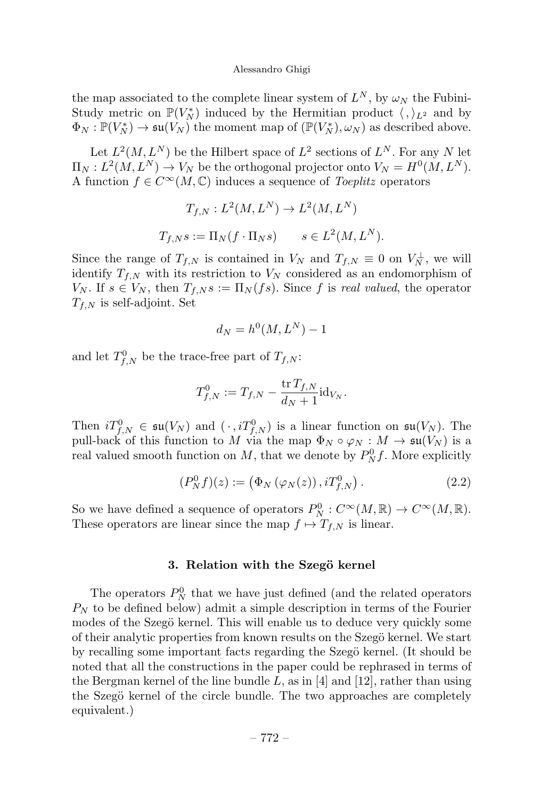the map associated to the complete linear system of  $L^N$ , by  $\omega_N$  the Fubini-Study metric on  $\mathbb{P}(V_N^*)$  induced by the Hermitian product  $\langle , \rangle_{L^2}$  and by  $\Phi_N : \mathbb{P}(V_N^*) \to \mathfrak{su}(V_N)$  the moment map of  $(\mathbb{P}(V_N^*), \omega_N)$  as described above.

Let  $L^2(M, L^N)$  be the Hilbert space of  $L^2$  sections of  $L^N$ . For any N let  $\Pi_N : L^2(M, L^N) \to V_N$  be the orthogonal projector onto  $V_N = H^0(M, L^N)$ . A function  $f \in C^{\infty}(M, \mathbb{C})$  induces a sequence of *Toeplitz* operators

$$
T_{f,N}: L^2(M, L^N) \to L^2(M, L^N)
$$
  

$$
T_{f,N}s := \Pi_N(f \cdot \Pi_N s) \qquad s \in L^2(M, L^N).
$$

Since the range of  $T_{f,N}$  is contained in  $V_N$  and  $T_{f,N} \equiv 0$  on  $V_N^{\perp}$ , we will identify  $T_{f,N}$  with its restriction to  $V_N$  considered as an endomorphism of  $V_N$ . If  $s \in V_N$ , then  $T_{f,N} s := \Pi_N (fs)$ . Since f is real valued, the operator  $T_{f,N}$  is self-adjoint. Set

$$
d_N = h^0(M, L^N) - 1
$$

and let  $T_{f,N}^0$  be the trace-free part of  $T_{f,N}$ :

$$
T_{f,N}^0 := T_{f,N} - \frac{\operatorname{tr} T_{f,N}}{d_N + 1} \mathrm{id}_{V_N}.
$$

Then  $iT_{f,N}^0 \in \mathfrak{su}(V_N)$  and  $(\cdot, iT_{f,N}^0)$  is a linear function on  $\mathfrak{su}(V_N)$ . The pull-back of this function to M via the map  $\Phi_N \circ \varphi_N : M \to \mathfrak{su}(V_N)$  is a real valued smooth function on  $M$ , that we denote by  $P_N^0 f$ . More explicitly

$$
(P_N^0 f)(z) := (\Phi_N(\varphi_N(z)), i T_{f,N}^0).
$$
 (2.2)

So we have defined a sequence of operators  $P_N^0: C^\infty(M, \mathbb{R}) \to C^\infty(M, \mathbb{R})$ . These operators are linear since the map  $f \mapsto T_{f,N}$  is linear.

# 3. Relation with the Szegö kernel

The operators  $P_N^0$  that we have just defined (and the related operators  $P_N$  to be defined below) admit a simple description in terms of the Fourier modes of the Szegö kernel. This will enable us to deduce very quickly some of their analytic properties from known results on the Szegö kernel. We start by recalling some important facts regarding the Szegö kernel. (It should be noted that all the constructions in the paper could be rephrased in terms of the Bergman kernel of the line bundle L, as in [4] and [12], rather than using the Szegö kernel of the circle bundle. The two approaches are completely equivalent.)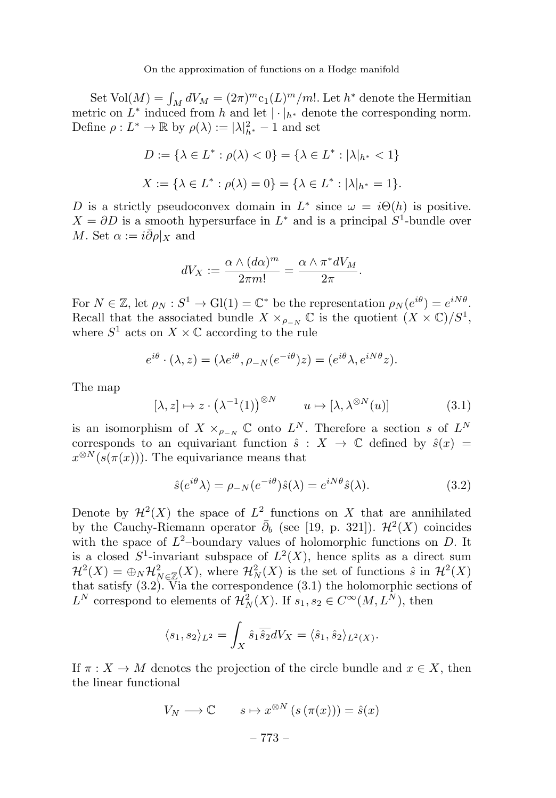Set  $\text{Vol}(M) = \int_M dV_M = (2\pi)^m c_1(L)^m/m!$ . Let  $h^*$  denote the Hermitian metric on  $L^*$  induced from h and let  $|\cdot|_{h^*}$  denote the corresponding norm. Define  $\rho: L^* \to \mathbb{R}$  by  $\rho(\lambda) := |\lambda|_{h^*}^2 - 1$  and set

$$
D := \{ \lambda \in L^* : \rho(\lambda) < 0 \} = \{ \lambda \in L^* : |\lambda|_{h^*} < 1 \}
$$
\n
$$
X := \{ \lambda \in L^* : \rho(\lambda) = 0 \} = \{ \lambda \in L^* : |\lambda|_{h^*} = 1 \}.
$$

D is a strictly pseudoconvex domain in  $L^*$  since  $\omega = i\Theta(h)$  is positive.  $X = \partial D$  is a smooth hypersurface in  $L^*$  and is a principal  $S^1$ -bundle over M. Set  $\alpha := i \bar{\partial} \rho |_{X}$  and

$$
dV_X := \frac{\alpha \wedge (d\alpha)^m}{2\pi m!} = \frac{\alpha \wedge \pi^* dV_M}{2\pi}.
$$

For  $N \in \mathbb{Z}$ , let  $\rho_N : S^1 \to Gl(1) = \mathbb{C}^*$  be the representation  $\rho_N(e^{i\theta}) = e^{iN\theta}$ . Recall that the associated bundle  $X \times_{\rho_{-N}} \mathbb{C}$  is the quotient  $(X \times \mathbb{C})/S^1$ , where  $S^1$  acts on  $X \times \mathbb{C}$  according to the rule

$$
e^{i\theta} \cdot (\lambda, z) = (\lambda e^{i\theta}, \rho_{-N}(e^{-i\theta})z) = (e^{i\theta}\lambda, e^{iN\theta}z).
$$

The map

$$
[\lambda, z] \mapsto z \cdot (\lambda^{-1}(1))^{\otimes N} \qquad u \mapsto [\lambda, \lambda^{\otimes N}(u)] \tag{3.1}
$$

is an isomorphism of  $X \times_{\rho_{-N}} \mathbb{C}$  onto  $L^N$ . Therefore a section s of  $L^N$ corresponds to an equivariant function  $\hat{s}: X \to \mathbb{C}$  defined by  $\hat{s}(x) =$  $x^{\otimes N}(s(\pi(x)))$ . The equivariance means that

$$
\hat{s}(e^{i\theta}\lambda) = \rho_{-N}(e^{-i\theta})\hat{s}(\lambda) = e^{iN\theta}\hat{s}(\lambda). \tag{3.2}
$$

Denote by  $\mathcal{H}^2(X)$  the space of  $L^2$  functions on X that are annihilated by the Cauchy-Riemann operator  $\bar{\partial}_b$  (see [19, p. 321]).  $\mathcal{H}^2(X)$  coincides with the space of  $L^2$ -boundary values of holomorphic functions on D. It is a closed  $S^1$ -invariant subspace of  $L^2(X)$ , hence splits as a direct sum  $\mathcal{H}^2(X) = \bigoplus_N \mathcal{H}^2_{N \in \mathbb{Z}}(X)$ , where  $\mathcal{H}^2_N(X)$  is the set of functions  $\hat{s}$  in  $\mathcal{H}^2(X)$ that satisfy (3.2). Via the correspondence (3.1) the holomorphic sections of  $L^N$  correspond to elements of  $\mathcal{H}_N^2(X)$ . If  $s_1, s_2 \in C^\infty(M, L^N)$ , then

$$
\langle s_1, s_2 \rangle_{L^2} = \int_X \hat{s}_1 \overline{\hat{s}_2} dV_X = \langle \hat{s}_1, \hat{s}_2 \rangle_{L^2(X)}.
$$

If  $\pi: X \to M$  denotes the projection of the circle bundle and  $x \in X$ , then the linear functional

$$
V_N \longrightarrow \mathbb{C} \qquad s \mapsto x^{\otimes N} \left( s \left( \pi(x) \right) \right) = \hat{s}(x)
$$

$$
-773 -
$$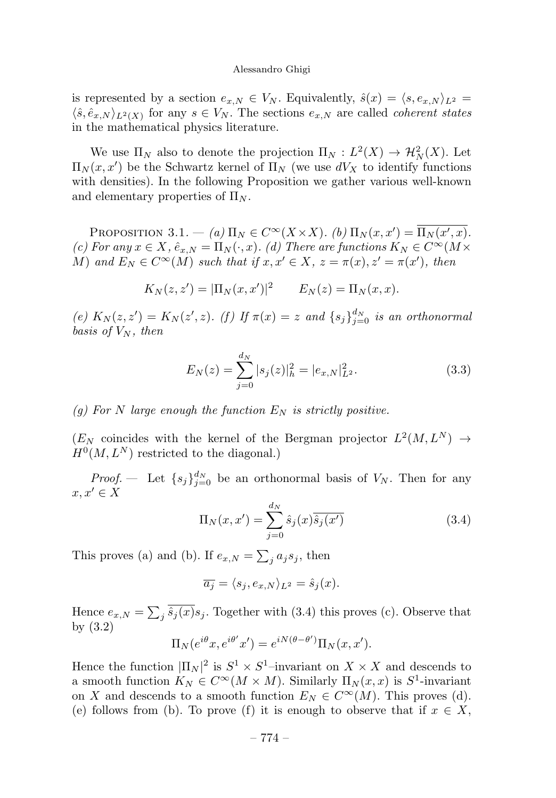is represented by a section  $e_{x,N} \in V_N$ . Equivalently,  $\hat{s}(x) = \langle s, e_{x,N} \rangle_{L^2} =$  $\langle \hat{s}, \hat{e}_{x,N} \rangle_{L^2(X)}$  for any  $s \in V_N$ . The sections  $e_{x,N}$  are called *coherent states* in the mathematical physics literature.

We use  $\Pi_N$  also to denote the projection  $\Pi_N: L^2(X) \to \mathcal{H}_N^2(X)$ . Let  $\Pi_N(x, x')$  be the Schwartz kernel of  $\Pi_N$  (we use  $dV_X$  to identify functions with densities). In the following Proposition we gather various well-known and elementary properties of  $\Pi_N$ .

PROPOSITION 3.1. – (a)  $\Pi_N \in C^\infty(X \times X)$ . (b)  $\Pi_N(x, x') = \Pi_N(x', x)$ . (c) For any  $x \in X$ ,  $\hat{e}_{x,N} = \Pi_N(\cdot, x)$ . (d) There are functions  $K_N \in C^\infty(M \times$ M) and  $E_N \in C^{\infty}(M)$  such that if  $x, x' \in X$ ,  $z = \pi(x), z' = \pi(x')$ , then

$$
K_N(z, z') = |\Pi_N(x, x')|^2
$$
  $E_N(z) = \Pi_N(x, x).$ 

(e)  $K_N(z, z') = K_N(z', z)$ . (f) If  $\pi(x) = z$  and  $\{s_j\}_{j=0}^{d_N}$  is an orthonormal basis of  $V_N$ , then

$$
E_N(z) = \sum_{j=0}^{d_N} |s_j(z)|_h^2 = |e_{x,N}|_{L^2}^2.
$$
 (3.3)

# (g) For N large enough the function  $E_N$  is strictly positive.

 $(E_N$  coincides with the kernel of the Bergman projector  $L^2(M, L^N) \rightarrow$  $H^0(M, L^N)$  restricted to the diagonal.)

*Proof.* – Let  $\{s_j\}_{j=0}^{d_N}$  be an orthonormal basis of  $V_N$ . Then for any  $x, x' \in X$ 

$$
\Pi_N(x, x') = \sum_{j=0}^{d_N} \hat{s}_j(x) \overline{\hat{s}_j(x')}
$$
\n(3.4)

This proves (a) and (b). If  $e_{x,N} = \sum_j a_j s_j$ , then

$$
\overline{a_j} = \langle s_j, e_{x,N} \rangle_{L^2} = \hat{s}_j(x).
$$

Hence  $e_{x,N} = \sum_j \overline{\hat{s}_j(x)} s_j$ . Together with (3.4) this proves (c). Observe that by (3.2)

$$
\Pi_N(e^{i\theta}x, e^{i\theta'}x') = e^{iN(\theta - \theta')} \Pi_N(x, x').
$$

Hence the function  $|\Pi_N|^2$  is  $S^1 \times S^1$ –invariant on  $X \times X$  and descends to a smooth function  $K_N \in C^{\infty}(M \times M)$ . Similarly  $\Pi_N(x, x)$  is  $S^1$ -invariant on X and descends to a smooth function  $E_N \in C^{\infty}(M)$ . This proves (d). (e) follows from (b). To prove (f) it is enough to observe that if  $x \in X$ ,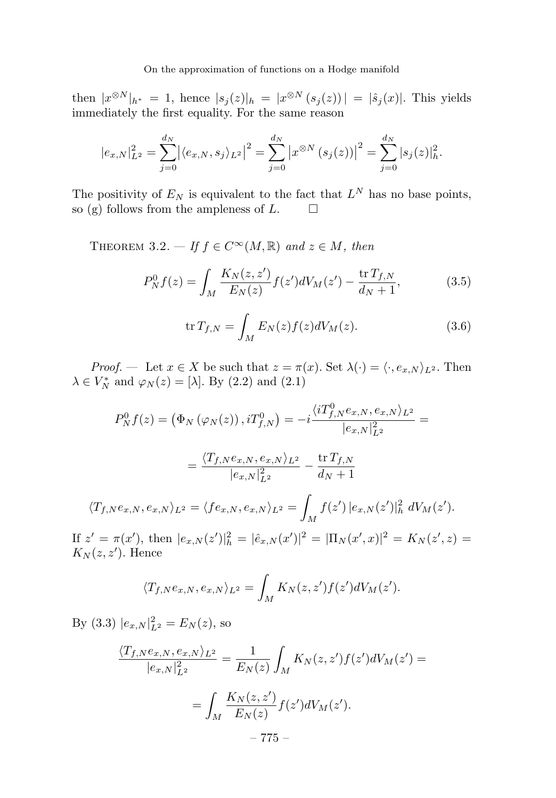then  $|x^{\otimes N}|_{h^*} = 1$ , hence  $|s_j(z)|_h = |x^{\otimes N}(s_j(z))| = |\hat{s}_j(x)|$ . This yields immediately the first equality. For the same reason

$$
|e_{x,N}|_{L^2}^2 = \sum_{j=0}^{d_N} |\langle e_{x,N}, s_j \rangle_{L^2}|^2 = \sum_{j=0}^{d_N} |x^{\otimes N} (s_j(z))|^2 = \sum_{j=0}^{d_N} |s_j(z)|_h^2.
$$

The positivity of  $E_N$  is equivalent to the fact that  $L^N$  has no base points, so (g) follows from the ampleness of  $L$ . so  $(g)$  follows from the ampleness of  $L$ .

THEOREM 3.2. — If  $f \in C^{\infty}(M,\mathbb{R})$  and  $z \in M$ , then

$$
P_N^0 f(z) = \int_M \frac{K_N(z, z')}{E_N(z)} f(z') dV_M(z') - \frac{\text{tr}\, T_{f,N}}{d_N + 1},\tag{3.5}
$$

$$
\operatorname{tr} T_{f,N} = \int_M E_N(z) f(z) dV_M(z). \tag{3.6}
$$

*Proof.* — Let  $x \in X$  be such that  $z = \pi(x)$ . Set  $\lambda(\cdot) = \langle \cdot, e_{x,N} \rangle_{L^2}$ . Then  $\lambda \in V_N^*$  and  $\varphi_N(z) = [\lambda]$ . By (2.2) and (2.1)

$$
P_N^0 f(z) = (\Phi_N (\varphi_N(z)), iT_{f,N}^0) = -i \frac{\langle iT_{f,N}^0 e_{x,N}, e_{x,N} \rangle_{L^2}}{|e_{x,N}|_{L^2}^2} =
$$
  

$$
= \frac{\langle T_{f,N} e_{x,N}, e_{x,N} \rangle_{L^2}}{|e_{x,N}|_{L^2}^2} - \frac{\text{tr } T_{f,N}}{d_N + 1}
$$
  

$$
\langle T_{f,N} e_{x,N}, e_{x,N} \rangle_{L^2} = \langle f e_{x,N}, e_{x,N} \rangle_{L^2} = \int_M f(z') |e_{x,N}(z')|_h^2 dV_M(z').
$$
  
If  $z' = \pi(x')$ , then  $|e_{x,N}(z')|_h^2 = |\hat{e}_{x,N}(x')|^2 = |\Pi_N(x', x)|^2 = K_N(z', z) =$   
 $K_N(z, z').$  Hence

$$
\langle T_{f,N}e_{x,N},e_{x,N}\rangle_{L^2} = \int_M K_N(z,z')f(z')dV_M(z').
$$

By (3.3)  $|e_{x,N}|_{L^2}^2 = E_N(z)$ , so

If  $z'$ 

$$
\frac{\langle T_{f,N}e_{x,N},e_{x,N}\rangle_{L^2}}{|e_{x,N}|_{L^2}^2} = \frac{1}{E_N(z)} \int_M K_N(z,z')f(z')dV_M(z') =
$$

$$
= \int_M \frac{K_N(z,z')}{E_N(z)}f(z')dV_M(z').
$$

$$
- 775 -
$$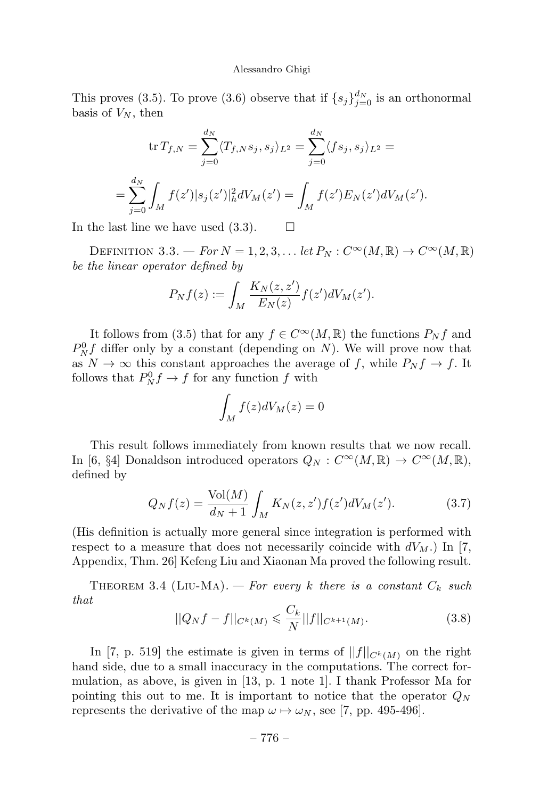This proves (3.5). To prove (3.6) observe that if  $\{s_j\}_{j=0}^{d_N}$  is an orthonormal basis of  $V_N$ , then

$$
\operatorname{tr} T_{f,N} = \sum_{j=0}^{d_N} \langle T_{f,N} s_j, s_j \rangle_{L^2} = \sum_{j=0}^{d_N} \langle f s_j, s_j \rangle_{L^2} =
$$
  
= 
$$
\sum_{j=0}^{d_N} \int_M f(z') |s_j(z')|_h^2 dV_M(z') = \int_M f(z') E_N(z') dV_M(z').
$$

In the last line we have used  $(3.3)$ .  $\Box$ 

DEFINITION 3.3. — For  $N = 1, 2, 3, \ldots$  let  $P_N : C^\infty(M, \mathbb{R}) \to C^\infty(M, \mathbb{R})$ be the linear operator defined by

$$
P_Nf(z) := \int_M \frac{K_N(z, z')}{E_N(z)} f(z') dV_M(z').
$$

It follows from (3.5) that for any  $f \in C^{\infty}(M,\mathbb{R})$  the functions  $P_N f$  and  $P_N^0 f$  differ only by a constant (depending on N). We will prove now that as  $N \to \infty$  this constant approaches the average of f, while  $P_N f \to f$ . It follows that  $P_N^0 f \to f$  for any function f with

$$
\int_M f(z)dV_M(z)=0
$$

This result follows immediately from known results that we now recall. In [6, §4] Donaldson introduced operators  $Q_N : C^{\infty}(M,\mathbb{R}) \to C^{\infty}(M,\mathbb{R}),$ defined by

$$
Q_N f(z) = \frac{\text{Vol}(M)}{d_N + 1} \int_M K_N(z, z') f(z') dV_M(z'). \tag{3.7}
$$

(His definition is actually more general since integration is performed with respect to a measure that does not necessarily coincide with  $dV_M$ .) In [7, Appendix, Thm. 26] Kefeng Liuand Xiaonan Ma proved the following result.

THEOREM 3.4 (LIU-MA). — For every k there is a constant  $C_k$  such that

$$
||Q_N f - f||_{C^k(M)} \leqslant \frac{C_k}{N} ||f||_{C^{k+1}(M)}.
$$
\n(3.8)

In [7, p. 519] the estimate is given in terms of  $||f||_{C^{k}(M)}$  on the right hand side, due to a small inaccuracy in the computations. The correct formulation, as above, is given in [13, p. 1 note 1]. I thank Professor Ma for pointing this out to me. It is important to notice that the operator  $Q_N$ represents the derivative of the map  $\omega \mapsto \omega_N$ , see [7, pp. 495-496].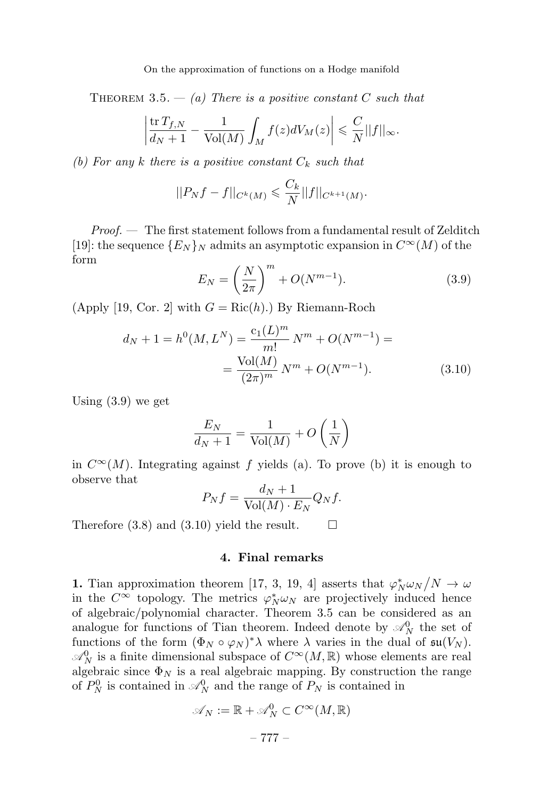THEOREM 3.5.  $-$  (a) There is a positive constant C such that

$$
\left|\frac{\operatorname{tr} T_{f,N}}{d_N+1}-\frac{1}{\operatorname{Vol}(M)}\int_M f(z)dV_M(z)\right|\leqslant \frac{C}{N}||f||_{\infty}.
$$

(b) For any k there is a positive constant  $C_k$  such that

$$
||P_N f - f||_{C^k(M)} \leqslant \frac{C_k}{N} ||f||_{C^{k+1}(M)}.
$$

*Proof.*  $\blacksquare$  The first statement follows from a fundamental result of Zelditch [19]: the sequence  ${E_N}_N$  admits an asymptotic expansion in  $C^{\infty}(M)$  of the form

$$
E_N = \left(\frac{N}{2\pi}\right)^m + O(N^{m-1}).
$$
\n(3.9)

(Apply [19, Cor. 2] with  $G = \text{Ric}(h)$ .) By Riemann-Roch

$$
d_N + 1 = h^0(M, L^N) = \frac{c_1(L)^m}{m!} N^m + O(N^{m-1}) =
$$
  
= 
$$
\frac{\text{Vol}(M)}{(2\pi)^m} N^m + O(N^{m-1}).
$$
 (3.10)

Using (3.9) we get

$$
\frac{E_N}{d_N + 1} = \frac{1}{\text{Vol}(M)} + O\left(\frac{1}{N}\right)
$$

in  $C^{\infty}(M)$ . Integrating against f yields (a). To prove (b) it is enough to observe that

$$
P_N f = \frac{d_N + 1}{\text{Vol}(M) \cdot E_N} Q_N f.
$$

Therefore (3.8) and (3.10) yield the result.  $\Box$ 

#### 4. Final remarks

**1.** Tian approximation theorem [17, 3, 19, 4] asserts that  $\varphi_N^* \omega_N/N \to \omega$ in the  $C^{\infty}$  topology. The metrics  $\varphi_N^* \omega_N$  are projectively induced hence of algebraic/polynomial character. Theorem 3.5 can be considered as an analogue for functions of Tian theorem. Indeed denote by  $\mathcal{A}_{N}^{0}$  the set of functions of the form  $(\Phi_N \circ \varphi_N)^* \lambda$  where  $\lambda$  varies in the dual of  $\mathfrak{su}(V_N)$ .  $\mathscr{A}_{N}^{0}$  is a finite dimensional subspace of  $C^{\infty}(M,\mathbb{R})$  whose elements are real algebraic since  $\Phi_N$  is a real algebraic mapping. By construction the range of  $P_N^0$  is contained in  $\mathcal{A}_N^0$  and the range of  $P_N$  is contained in

$$
\mathscr{A}_N := \mathbb{R} + \mathscr{A}_N^0 \subset C^\infty(M, \mathbb{R})
$$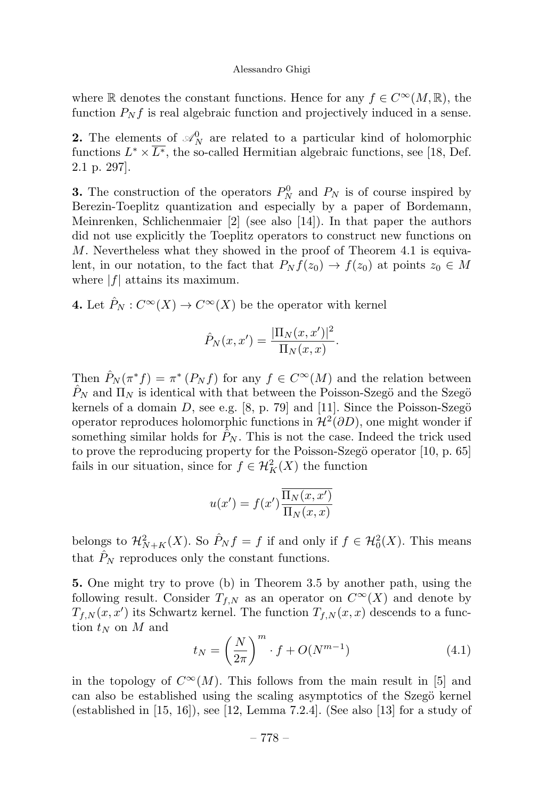where R denotes the constant functions. Hence for any  $f \in C^{\infty}(M,\mathbb{R})$ , the function  $P_N f$  is real algebraic function and projectively induced in a sense.

**2.** The elements of  $\mathcal{A}_N^0$  are related to a particular kind of holomorphic functions  $L^* \times \overline{L^*}$ , the so-called Hermitian algebraic functions, see [18, Def. 2.1 p. 297].

**3.** The construction of the operators  $P_N^0$  and  $P_N$  is of course inspired by Berezin-Toeplitz quantization and especially by a paper of Bordemann, Meinrenken, Schlichenmaier [2] (see also [14]). In that paper the authors did not use explicitly the Toeplitz operators to construct new functions on  $M$ . Nevertheless what they showed in the proof of Theorem 4.1 is equivalent, in our notation, to the fact that  $P_N f(z_0) \to f(z_0)$  at points  $z_0 \in M$ where  $|f|$  attains its maximum.

4. Let  $\hat{P}_N : C^\infty(X) \to C^\infty(X)$  be the operator with kernel

$$
\hat{P}_N(x, x') = \frac{|\Pi_N(x, x')|^2}{\Pi_N(x, x)}.
$$

Then  $\hat{P}_N(\pi^*f) = \pi^*(P_Nf)$  for any  $f \in C^{\infty}(M)$  and the relation between  $\hat{P}_N$  and  $\Pi_N$  is identical with that between the Poisson-Szegö and the Szegö kernels of a domain D, see e.g. [8, p. 79] and [11]. Since the Poisson-Szegö operator reproduces holomorphic functions in  $\mathcal{H}^2(\partial D)$ , one might wonder if something similar holds for  $\hat{P}_N$ . This is not the case. Indeed the trick used to prove the reproducing property for the Poisson-Szegö operator [10, p. 65] fails in our situation, since for  $f \in \mathcal{H}_K^2(X)$  the function

$$
u(x') = f(x') \frac{\overline{\Pi_N(x, x')}}{\overline{\Pi_N(x, x)}}
$$

belongs to  $\mathcal{H}_{N+K}^2(X)$ . So  $\hat{P}_N f = f$  if and only if  $f \in \mathcal{H}_0^2(X)$ . This means that  $P_N$  reproduces only the constant functions.

5. One might try to prove (b) in Theorem 3.5 by another path, using the following result. Consider  $T_{f,N}$  as an operator on  $C^{\infty}(X)$  and denote by  $T_{f,N}(x, x')$  its Schwartz kernel. The function  $T_{f,N}(x, x)$  descends to a function  $t_N$  on M and

$$
t_N = \left(\frac{N}{2\pi}\right)^m \cdot f + O(N^{m-1})\tag{4.1}
$$

in the topology of  $C^{\infty}(M)$ . This follows from the main result in [5] and can also be established using the scaling asymptotics of the Szegö kernel (established in  $[15, 16]$ ), see  $[12, \text{Lemma } 7.2.4]$ . (See also  $[13]$  for a study of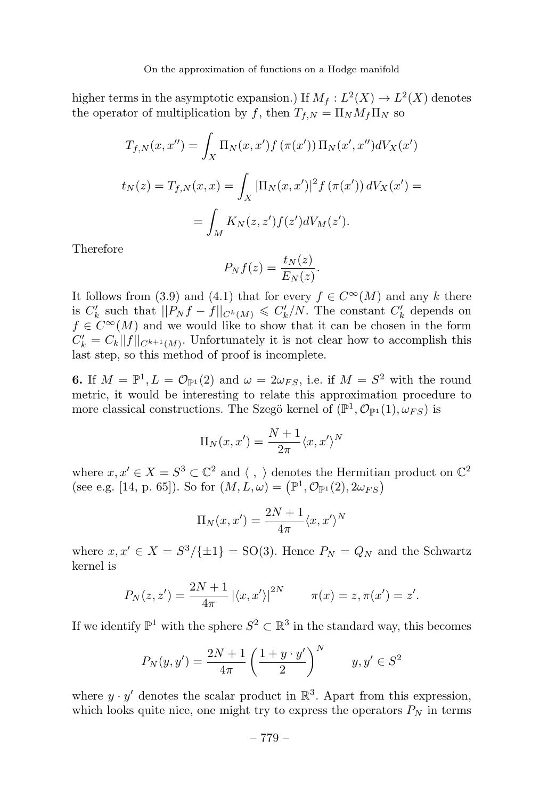higher terms in the asymptotic expansion.) If  $M_f: L^2(X) \to L^2(X)$  denotes the operator of multiplication by f, then  $T_{f,N} = \Pi_N M_f \Pi_N$  so

$$
T_{f,N}(x, x'') = \int_X \Pi_N(x, x') f(\pi(x')) \Pi_N(x', x'') dV_X(x')
$$
  

$$
t_N(z) = T_{f,N}(x, x) = \int_X |\Pi_N(x, x')|^2 f(\pi(x')) dV_X(x') =
$$
  

$$
= \int_M K_N(z, z') f(z') dV_M(z').
$$

Therefore

$$
P_N f(z) = \frac{t_N(z)}{E_N(z)}.
$$

It follows from (3.9) and (4.1) that for every  $f \in C^{\infty}(M)$  and any k there is  $C'_{k}$  such that  $||P_{N}f - f||_{C^{k}(M)} \leq C'_{k}/N$ . The constant  $C'_{k}$  depends on  $f \in C^{\infty}(M)$  and we would like to show that it can be chosen in the form  $C'_{k} = C_{k}||f||_{C^{k+1}(M)}$ . Unfortunately it is not clear how to accomplish this last step, so this method of proof is incomplete.

6. If  $M = \mathbb{P}^1, L = \mathcal{O}_{\mathbb{P}^1}(2)$  and  $\omega = 2\omega_{FS}$ , i.e. if  $M = S^2$  with the round metric, it would be interesting to relate this approximation procedure to more classical constructions. The Szegö kernel of  $(\mathbb{P}^1, \mathcal{O}_{\mathbb{P}^1}(1), \omega_{FS})$  is

$$
\Pi_N(x, x') = \frac{N+1}{2\pi} \langle x, x' \rangle^N
$$

where  $x, x' \in X = S^3 \subset \mathbb{C}^2$  and  $\langle , \rangle$  denotes the Hermitian product on  $\mathbb{C}^2$ (see e.g. [14, p. 65]). So for  $(M, L, \omega) = (\mathbb{P}^1, \mathcal{O}_{\mathbb{P}^1}(2), 2\omega_{FS})$ 

$$
\Pi_N(x, x') = \frac{2N+1}{4\pi} \langle x, x' \rangle^N
$$

where  $x, x' \in X = S^3/\{\pm 1\} = SO(3)$ . Hence  $P_N = Q_N$  and the Schwartz kernel is

$$
P_N(z, z') = \frac{2N + 1}{4\pi} |\langle x, x' \rangle|^{2N} \qquad \pi(x) = z, \pi(x') = z'.
$$

If we identify  $\mathbb{P}^1$  with the sphere  $S^2 \subset \mathbb{R}^3$  in the standard way, this becomes

$$
P_N(y, y') = \frac{2N+1}{4\pi} \left(\frac{1+y \cdot y'}{2}\right)^N \qquad y, y' \in S^2
$$

where  $y \cdot y'$  denotes the scalar product in  $\mathbb{R}^3$ . Apart from this expression, which looks quite nice, one might try to express the operators  $P<sub>N</sub>$  in terms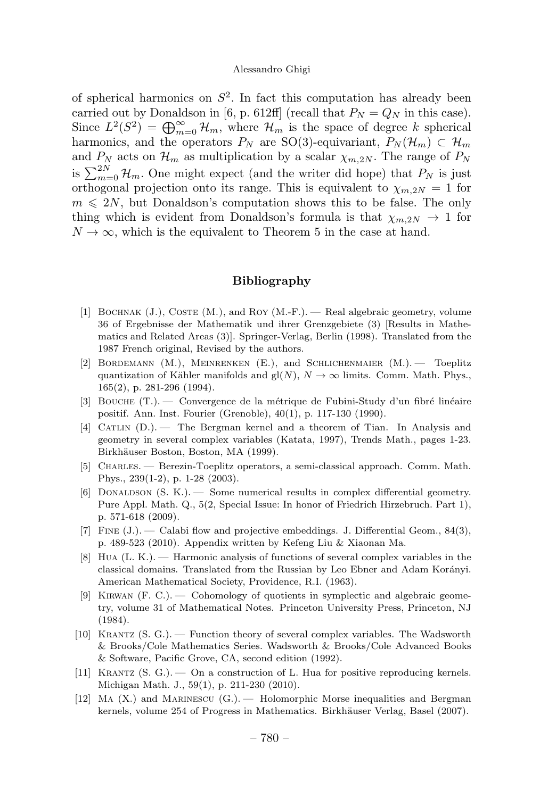of spherical harmonics on  $S^2$ . In fact this computation has already been carried out by Donaldson in [6, p. 612ff] (recall that  $P_N = Q_N$  in this case). Since  $L^2(S^2) = \bigoplus_{m=0}^{\infty} \mathcal{H}_m$ , where  $\mathcal{H}_m$  is the space of degree k spherical harmonics, and the operators  $P_N$  are SO(3)-equivariant,  $P_N(\mathcal{H}_m) \subset \mathcal{H}_m$ and  $P_N$  acts on  $\mathcal{H}_m$  as multiplication by a scalar  $\chi_{m,2N}$ . The range of  $P_N$ is  $\sum_{m=0}^{2N} \mathcal{H}_m$ . One might expect (and the writer did hope) that  $P_N$  is just orthogonal projection onto its range. This is equivalent to  $\chi_{m,2N} = 1$  for  $m \leq 2N$ , but Donaldson's computation shows this to be false. The only thing which is evident from Donaldson's formula is that  $\chi_{m,2N} \to 1$  for  $N \to \infty$ , which is the equivalent to Theorem 5 in the case at hand.

### Bibliography

- [1] BOCHNAK  $(J)$ , COSTE  $(M)$ , and ROY  $(M-F)$ . Real algebraic geometry, volume 36 of Ergebnisse der Mathematik und ihrer Grenzgebiete (3) [Results in Mathematics and Related Areas (3)]. Springer-Verlag, Berlin (1998). Translated from the 1987 French original, Revised by the authors.
- [2] Bordemann (M.), Meinrenken (E.), and Schlichenmaier (M.). Toeplitz quantization of Kähler manifolds and  $gl(N)$ ,  $N \to \infty$  limits. Comm. Math. Phys., 165(2), p. 281-296 (1994).
- [3] BOUCHE  $(T.)$ . Convergence de la métrique de Fubini-Study d'un fibré linéaire positif. Ann. Inst. Fourier (Grenoble), 40(1), p. 117-130 (1990).
- [4] Catlin (D.). The Bergman kernel and a theorem of Tian. In Analysis and geometry in several complex variables (Katata, 1997), Trends Math., pages 1-23. Birkhäuser Boston, Boston, MA (1999).
- [5] Charles. Berezin-Toeplitz operators, a semi-classical approach. Comm. Math. Phys., 239(1-2), p. 1-28(2003).
- $[6]$  DONALDSON  $(S, K)$ . Some numerical results in complex differential geometry. Pure Appl. Math. Q., 5(2, Special Issue: In honor of Friedrich Hirzebruch. Part 1), p. 571-618(2009).
- [7] Fine (J.). Calabi flow and projective embeddings. J. Differential Geom., 84(3), p. 489-523 (2010). Appendix written by Kefeng Liu & Xiaonan Ma.
- [8] Hua (L. K.). Harmonic analysis of functions of several complex variables in the classical domains. Translated from the Russian by Leo Ebner and Adam Korányi. American Mathematical Society, Providence, R.I. (1963).
- [9] Kirwan (F. C.). Cohomology of quotients in symplectic and algebraic geometry, volume 31 of Mathematical Notes. Princeton University Press, Princeton, NJ (1984).
- [10] Krantz (S. G.). Function theory of several complex variables. The Wadsworth & Brooks/Cole Mathematics Series. Wadsworth & Brooks/Cole Advanced Books & Software, Pacific Grove, CA, second edition (1992).
- [11] Krantz (S. G.). On a construction of L. Hua for positive reproducing kernels. Michigan Math. J., 59(1), p. 211-230 (2010).
- [12] Ma (X.) and Marinescu (G.). Holomorphic Morse inequalities and Bergman kernels, volume 254 of Progress in Mathematics. Birkhäuser Verlag, Basel (2007).